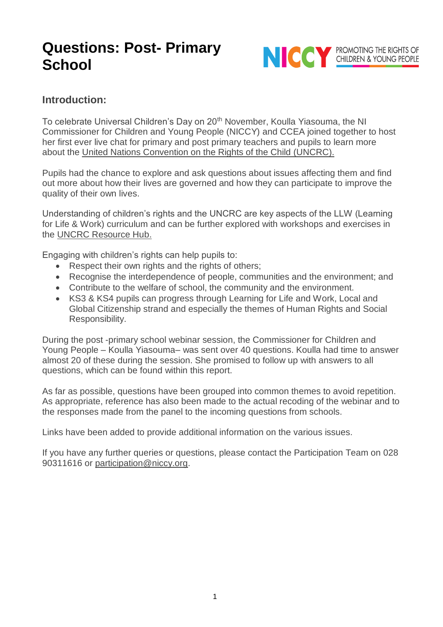

## **Introduction:**

To celebrate Universal Children's Day on 20<sup>th</sup> November, Koulla Yiasouma, the NI Commissioner for Children and Young People (NICCY) and CCEA joined together to host her first ever live chat for primary and post primary teachers and pupils to learn more about the [United Nations Convention on the Rights of the Child \(UNCRC\).](https://www.niccy.org/children-and-young-people/your-rights/know-your-rights/)

Pupils had the chance to explore and ask questions about issues affecting them and find out more about how their lives are governed and how they can participate to improve the quality of their own lives.

Understanding of children's rights and the UNCRC are key aspects of the LLW (Learning for Life & Work) curriculum and can be further explored with workshops and exercises in the [UNCRC Resource Hub.](http://ccea.org.uk/UNCRCResourceHub)

Engaging with children's rights can help pupils to:

- Respect their own rights and the rights of others;
- Recognise the interdependence of people, communities and the environment; and
- Contribute to the welfare of school, the community and the environment.
- KS3 & KS4 pupils can progress through Learning for Life and Work, Local and Global Citizenship strand and especially the themes of Human Rights and Social Responsibility.

During the post -primary school webinar session, the Commissioner for Children and Young People – Koulla Yiasouma– was sent over 40 questions. Koulla had time to answer almost 20 of these during the session. She promised to follow up with answers to all questions, which can be found within this report.

As far as possible, questions have been grouped into common themes to avoid repetition. As appropriate, reference has also been made to the actual recoding of the webinar and to the responses made from the panel to the incoming questions from schools.

Links have been added to provide additional information on the various issues.

If you have any further queries or questions, please contact the Participation Team on 028 90311616 or [participation@niccy.org.](mailto:participation@niccy.org)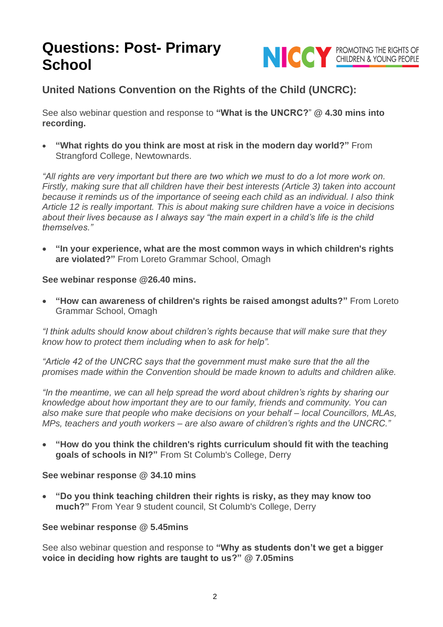

## **United Nations Convention on the Rights of the Child (UNCRC):**

See also webinar question and response to **"What is the UNCRC?**" **@ 4.30 mins into recording.**

• **"What rights do you think are most at risk in the modern day world?"** From Strangford College, Newtownards.

*"All rights are very important but there are two which we must to do a lot more work on. Firstly, making sure that all children have their best interests (Article 3) taken into account because it reminds us of the importance of seeing each child as an individual. I also think Article 12 is really important. This is about making sure children have a voice in decisions about their lives because as I always say "the main expert in a child's life is the child themselves."*

• **"In your experience, what are the most common ways in which children's rights are violated?"** From Loreto Grammar School, Omagh

**See webinar response @26.40 mins.**

• **"How can awareness of children's rights be raised amongst adults?"** From Loreto Grammar School, Omagh

*"I think adults should know about children's rights because that will make sure that they know how to protect them including when to ask for help".*

*"Article 42 of the UNCRC says that the government must make sure that the all the promises made within the Convention should be made known to adults and children alike.*

*"In the meantime, we can all help spread the word about children's rights by sharing our knowledge about how important they are to our family, friends and community. You can also make sure that people who make decisions on your behalf – local Councillors, MLAs, MPs, teachers and youth workers – are also aware of children's rights and the UNCRC."* 

• **"How do you think the children's rights curriculum should fit with the teaching goals of schools in NI?"** From St Columb's College, Derry

#### **See webinar response @ 34.10 mins**

• **"Do you think teaching children their rights is risky, as they may know too much?"** From Year 9 student council, St Columb's College, Derry

#### **See webinar response @ 5.45mins**

See also webinar question and response to **"Why as students don't we get a bigger voice in deciding how rights are taught to us?" @ 7.05mins**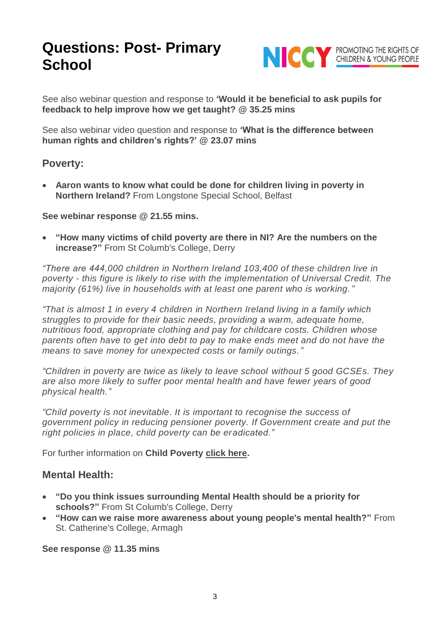

See also webinar question and response to **'Would it be beneficial to ask pupils for feedback to help improve how we get taught? @ 35.25 mins**

See also webinar video question and response to **'What is the difference between human rights and children's rights?' @ 23.07 mins**

#### **Poverty:**

• **Aaron wants to know what could be done for children living in poverty in Northern Ireland?** From Longstone Special School, Belfast

**See webinar response @ 21.55 mins.**

• **"How many victims of child poverty are there in NI? Are the numbers on the increase?"** From St Columb's College, Derry

*"There are 444,000 children in Northern Ireland 103,400 of these children live in poverty - this figure is likely to rise with the implementation of Universal Credit. The majority (61%) live in households with at least one parent who is working."*

*"That is almost 1 in every 4 children in Northern Ireland living in a family which struggles to provide for their basic needs, providing a warm, adequate home, nutritious food, appropriate clothing and pay for childcare costs. Children whose parents often have to get into debt to pay to make ends meet and do not have the means to save money for unexpected costs or family outings."*

*"Children in poverty are twice as likely to leave school without 5 good GCSEs. They are also more likely to suffer poor mental health and have fewer years of good physical health."*

*"Child poverty is not inevitable. It is important to recognise the success of government policy in reducing pensioner poverty. If Government create and put the right policies in place, child poverty can be eradicated."*

For further information on **Child Poverty [click here.](https://www.niccy.org/about-us/our-current-work/high-level-corporate-objectives/respecting-the-rights-of-vulnerable-groups-of-children/child-poverty/)**

### **Mental Health:**

- **"Do you think issues surrounding Mental Health should be a priority for schools?"** From St Columb's College, Derry
- **"How can we raise more awareness about young people's mental health?"** From St. Catherine's College, Armagh

**See response @ 11.35 mins**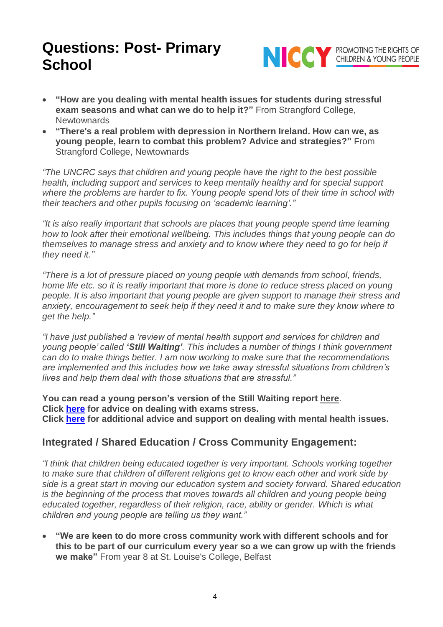

- **"How are you dealing with mental health issues for students during stressful exam seasons and what can we do to help it?"** From Strangford College, **Newtownards**
- **"There's a real problem with depression in Northern Ireland. How can we, as young people, learn to combat this problem? Advice and strategies?"** From Strangford College, Newtownards

*"The UNCRC says that children and young people have the right to the best possible health, including support and services to keep mentally healthy and for special support where the problems are harder to fix. Young people spend lots of their time in school with their teachers and other pupils focusing on 'academic learning'."*

*"It is also really important that schools are places that young people spend time learning how to look after their emotional wellbeing. This includes things that young people can do themselves to manage stress and anxiety and to know where they need to go for help if they need it."*

*"There is a lot of pressure placed on young people with demands from school, friends, home life etc. so it is really important that more is done to reduce stress placed on young people. It is also important that young people are given support to manage their stress and anxiety, encouragement to seek help if they need it and to make sure they know where to get the help."*

*"I have just published a 'review of mental health support and services for children and young people' called 'Still Waiting'. This includes a number of things I think government can do to make things better. I am now working to make sure that the recommendations are implemented and this includes how we take away stressful situations from children's lives and help them deal with those situations that are stressful."*

**You can read a young person's version of the Still Waiting report [here](https://www.niccy.org/about-us/our-current-work/mental-health-review-still-waiting/still-waiting-a-rights-based-review-of-mental-health-services-and-support-for-children-and-young-people-in-northern-ireland/)**. **Click [here](https://www.childline.org.uk/info-advice/school-college-and-work/school-college/exam-stress/) for advice on dealing with exams stress. Click [here](https://www.childline.org.uk/info-advice/your-feelings/#explore) for additional advice and support on dealing with mental health issues.** 

## **Integrated / Shared Education / Cross Community Engagement:**

*"I think that children being educated together is very important. Schools working together to make sure that children of different religions get to know each other and work side by side is a great start in moving our education system and society forward. Shared education is the beginning of the process that moves towards all children and young people being educated together, regardless of their religion, race, ability or gender. Which is what children and young people are telling us they want."*

• **"We are keen to do more cross community work with different schools and for this to be part of our curriculum every year so a we can grow up with the friends we make"** From year 8 at St. Louise's College, Belfast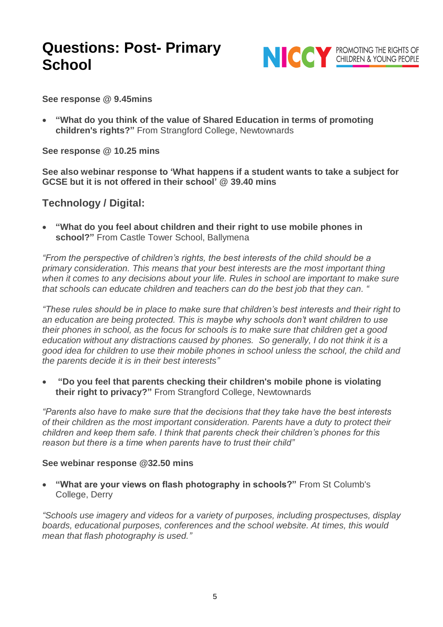

**See response @ 9.45mins**

• **"What do you think of the value of Shared Education in terms of promoting children's rights?"** From Strangford College, Newtownards

**See response @ 10.25 mins**

**See also webinar response to 'What happens if a student wants to take a subject for GCSE but it is not offered in their school' @ 39.40 mins**

### **Technology / Digital:**

• **"What do you feel about children and their right to use mobile phones in school?"** From Castle Tower School, Ballymena

*"From the perspective of children's rights, the best interests of the child should be a primary consideration. This means that your best interests are the most important thing when it comes to any decisions about your life. Rules in school are important to make sure that schools can educate children and teachers can do the best job that they can. "*

*"These rules should be in place to make sure that children's best interests and their right to an education are being protected. This is maybe why schools don't want children to use their phones in school, as the focus for schools is to make sure that children get a good education without any distractions caused by phones. So generally, I do not think it is a good idea for children to use their mobile phones in school unless the school, the child and the parents decide it is in their best interests"*

• **"Do you feel that parents checking their children's mobile phone is violating their right to privacy?"** From Strangford College, Newtownards

*"Parents also have to make sure that the decisions that they take have the best interests of their children as the most important consideration. Parents have a duty to protect their children and keep them safe. I think that parents check their children's phones for this reason but there is a time when parents have to trust their child"*

#### **See webinar response @32.50 mins**

• **"What are your views on flash photography in schools?"** From St Columb's College, Derry

*"Schools use imagery and videos for a variety of purposes, including prospectuses, display boards, educational purposes, conferences and the school website. At times, this would mean that flash photography is used."*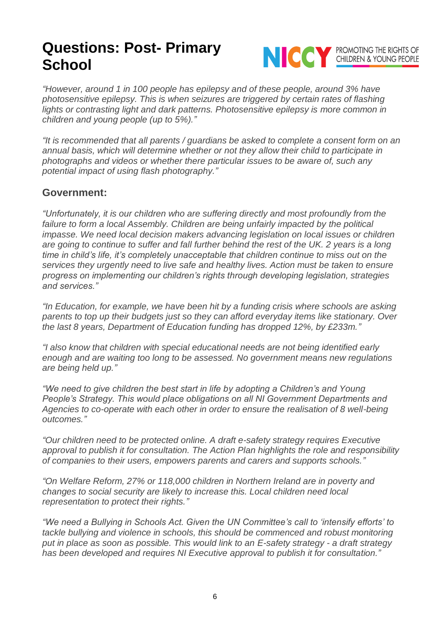

*"However, around 1 in 100 people has epilepsy and of these people, around 3% have photosensitive epilepsy. This is when seizures are triggered by certain rates of flashing*  lights or contrasting light and dark patterns. Photosensitive epilepsy is more common in *children and young people (up to 5%)."*

*"It is recommended that all parents / guardians be asked to complete a consent form on an annual basis, which will determine whether or not they allow their child to participate in photographs and videos or whether there particular issues to be aware of, such any potential impact of using flash photography."*

### **Government:**

*"Unfortunately, it is our children who are suffering directly and most profoundly from the*  failure to form a local Assembly. Children are being unfairly impacted by the political *impasse. We need local decision makers advancing legislation on local issues or children are going to continue to suffer and fall further behind the rest of the UK. 2 years is a long time in child's life, it's completely unacceptable that children continue to miss out on the services they urgently need to live safe and healthy lives. Action must be taken to ensure progress on implementing our children's rights through developing legislation, strategies and services."*

*"In Education, for example, we have been hit by a funding crisis where schools are asking parents to top up their budgets just so they can afford everyday items like stationary. Over the last 8 years, Department of Education funding has dropped 12%, by £233m."*

*"I also know that children with special educational needs are not being identified early enough and are waiting too long to be assessed. No government means new regulations are being held up."*

*"We need to give children the best start in life by adopting a Children's and Young People's Strategy. This would place obligations on all NI Government Departments and Agencies to co-operate with each other in order to ensure the realisation of 8 well-being outcomes."*

*"Our children need to be protected online. A draft e-safety strategy requires Executive approval to publish it for consultation. The Action Plan highlights the role and responsibility of companies to their users, empowers parents and carers and supports schools."*

*"On Welfare Reform, 27% or 118,000 children in Northern Ireland are in poverty and changes to social security are likely to increase this. Local children need local representation to protect their rights."*

*"We need a Bullying in Schools Act. Given the UN Committee's call to 'intensify efforts' to tackle bullying and violence in schools, this should be commenced and robust monitoring put in place as soon as possible. This would link to an E-safety strategy - a draft strategy has been developed and requires NI Executive approval to publish it for consultation."*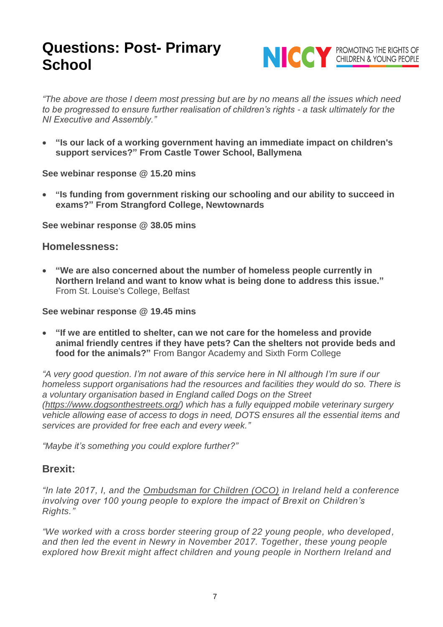

*"The above are those I deem most pressing but are by no means all the issues which need to be progressed to ensure further realisation of children's rights - a task ultimately for the NI Executive and Assembly."* 

• **"Is our lack of a working government having an immediate impact on children's support services?" From Castle Tower School, Ballymena**

**See webinar response @ 15.20 mins**

• **"Is funding from government risking our schooling and our ability to succeed in exams?" From Strangford College, Newtownards**

**See webinar response @ 38.05 mins**

#### **Homelessness:**

• **"We are also concerned about the number of homeless people currently in Northern Ireland and want to know what is being done to address this issue."** From St. Louise's College, Belfast

**See webinar response @ 19.45 mins**

• **"If we are entitled to shelter, can we not care for the homeless and provide animal friendly centres if they have pets? Can the shelters not provide beds and food for the animals?"** From Bangor Academy and Sixth Form College

*"A very good question. I'm not aware of this service here in NI although I'm sure if our homeless support organisations had the resources and facilities they would do so. There is a voluntary organisation based in England called Dogs on the Street [\(https://www.dogsonthestreets.org/\)](https://www.dogsonthestreets.org/) which has a fully equipped mobile veterinary surgery vehicle allowing ease of access to dogs in need, DOTS ensures all the essential items and services are provided for free each and every week."*

*"Maybe it's something you could explore further?"*

#### **Brexit:**

*"In late 2017, I, and the [Ombudsman for Children \(OCO\)](https://www.oco.ie/) in Ireland held a conference involving over 100 young people to explore the impact of Brexit on Children's Rights."*

*"We worked with a cross border steering group of 22 young people, who developed , and then led the event in Newry in November 2017. Together, these young people explored how Brexit might affect children and young people in Northern Ireland and*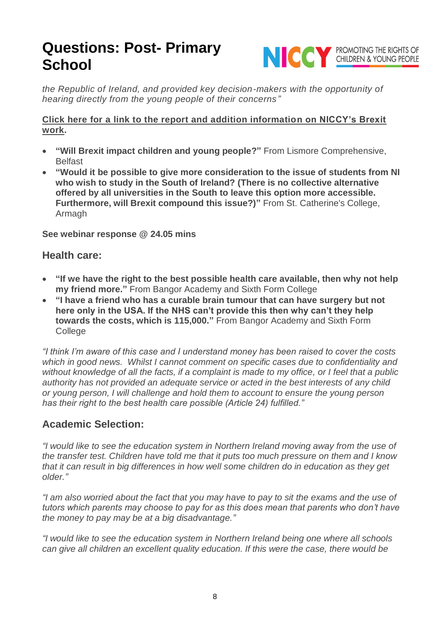

*the Republic of Ireland, and provided key decision-makers with the opportunity of hearing directly from the young people of their concerns"*

#### **[Click here for a link to the report and addition information on NICCY's Brexit](https://www.niccy.org/about-us/our-current-work/brexit/)  [work.](https://www.niccy.org/about-us/our-current-work/brexit/)**

- **"Will Brexit impact children and young people?"** From Lismore Comprehensive, **Belfast**
- **"Would it be possible to give more consideration to the issue of students from NI who wish to study in the South of Ireland? (There is no collective alternative offered by all universities in the South to leave this option more accessible. Furthermore, will Brexit compound this issue?)"** From St. Catherine's College, Armagh

**See webinar response @ 24.05 mins**

#### **Health care:**

- **"If we have the right to the best possible health care available, then why not help my friend more."** From Bangor Academy and Sixth Form College
- **"I have a friend who has a curable brain tumour that can have surgery but not here only in the USA. If the NHS can't provide this then why can't they help towards the costs, which is 115,000."** From Bangor Academy and Sixth Form College

*"I think I'm aware of this case and I understand money has been raised to cover the costs which in good news. Whilst I cannot comment on specific cases due to confidentiality and without knowledge of all the facts, if a complaint is made to my office, or I feel that a public authority has not provided an adequate service or acted in the best interests of any child or young person, I will challenge and hold them to account to ensure the young person has their right to the best health care possible (Article 24) fulfilled."* 

## **Academic Selection:**

*"I would like to see the education system in Northern Ireland moving away from the use of the transfer test. Children have told me that it puts too much pressure on them and I know that it can result in big differences in how well some children do in education as they get older."*

*"I am also worried about the fact that you may have to pay to sit the exams and the use of tutors which parents may choose to pay for as this does mean that parents who don't have the money to pay may be at a big disadvantage."*

*"I would like to see the education system in Northern Ireland being one where all schools can give all children an excellent quality education. If this were the case, there would be*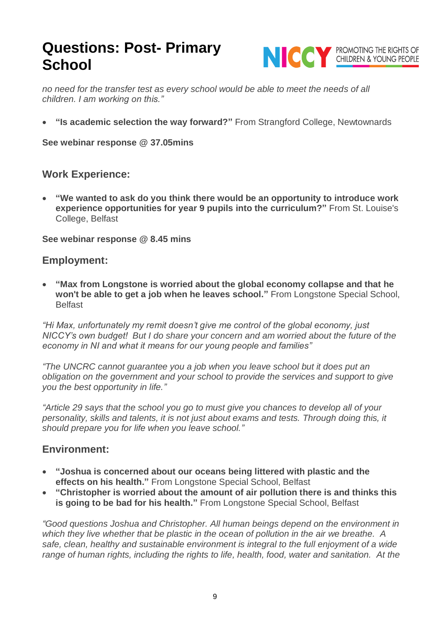

*no need for the transfer test as every school would be able to meet the needs of all children. I am working on this."*

• **"Is academic selection the way forward?"** From Strangford College, Newtownards

**See webinar response @ 37.05mins**

### **Work Experience:**

• **"We wanted to ask do you think there would be an opportunity to introduce work experience opportunities for year 9 pupils into the curriculum?"** From St. Louise's College, Belfast

**See webinar response @ 8.45 mins**

### **Employment:**

• **"Max from Longstone is worried about the global economy collapse and that he won't be able to get a job when he leaves school."** From Longstone Special School, Belfast

*"Hi Max, unfortunately my remit doesn't give me control of the global economy, just NICCY's own budget! But I do share your concern and am worried about the future of the economy in NI and what it means for our young people and families"*

*"The UNCRC cannot guarantee you a job when you leave school but it does put an obligation on the government and your school to provide the services and support to give you the best opportunity in life."*

*"Article 29 says that the school you go to must give you chances to develop all of your personality, skills and talents, it is not just about exams and tests. Through doing this, it should prepare you for life when you leave school."*

### **Environment:**

- **"Joshua is concerned about our oceans being littered with plastic and the effects on his health."** From Longstone Special School, Belfast
- **"Christopher is worried about the amount of air pollution there is and thinks this is going to be bad for his health."** From Longstone Special School, Belfast

*"Good questions Joshua and Christopher. All human beings depend on the environment in which they live whether that be plastic in the ocean of pollution in the air we breathe. A safe, clean, healthy and sustainable environment is integral to the full enjoyment of a wide range of human rights, including the rights to life, health, food, water and sanitation. At the*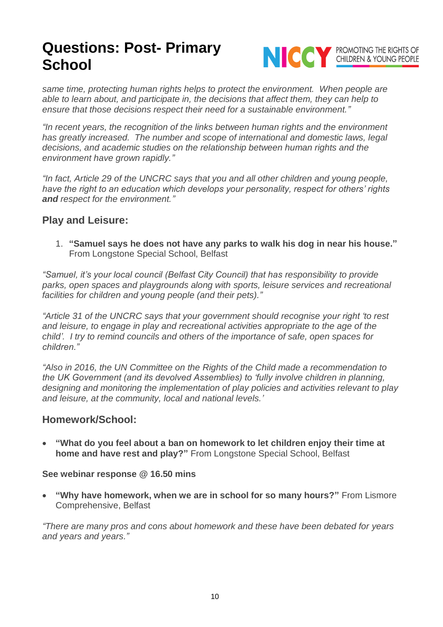

*same time, protecting human rights helps to protect the environment. When people are able to learn about, and participate in, the decisions that affect them, they can help to ensure that those decisions respect their need for a sustainable environment."*

*"In recent years, the recognition of the links between human rights and the environment has greatly increased. The number and scope of international and domestic laws, legal decisions, and academic studies on the relationship between human rights and the environment have grown rapidly."*

*"In fact, Article 29 of the UNCRC says that you and all other children and young people, have the right to an education which develops your personality, respect for others' rights and respect for the environment."*

### **Play and Leisure:**

1. **"Samuel says he does not have any parks to walk his dog in near his house."** From Longstone Special School, Belfast

*"Samuel, it's your local council (Belfast City Council) that has responsibility to provide parks, open spaces and playgrounds along with sports, leisure services and recreational facilities for children and young people (and their pets)."*

*"Article 31 of the UNCRC says that your government should recognise your right 'to rest and leisure, to engage in play and recreational activities appropriate to the age of the child'. I try to remind councils and others of the importance of safe, open spaces for children."*

*"Also in 2016, the UN Committee on the Rights of the Child made a recommendation to the UK Government (and its devolved Assemblies) to 'fully involve children in planning, designing and monitoring the implementation of play policies and activities relevant to play and leisure, at the community, local and national levels.'* 

#### **Homework/School:**

• **"What do you feel about a ban on homework to let children enjoy their time at home and have rest and play?"** From Longstone Special School, Belfast

#### **See webinar response @ 16.50 mins**

• **"Why have homework, when we are in school for so many hours?"** From Lismore Comprehensive, Belfast

*"There are many pros and cons about homework and these have been debated for years and years and years."*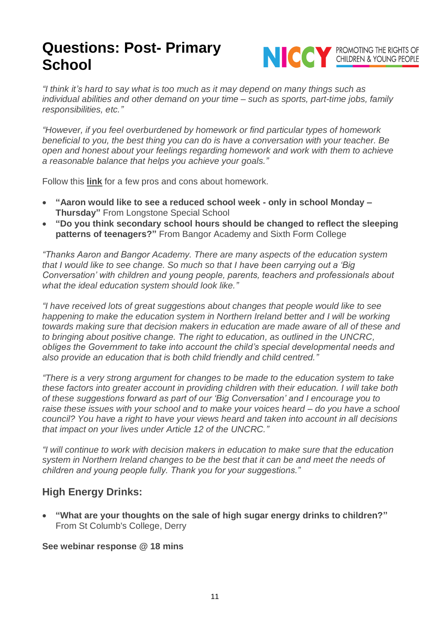

*"I think it's hard to say what is too much as it may depend on many things such as individual abilities and other demand on your time – such as sports, part-time jobs, family responsibilities, etc."*

*"However, if you feel [overburdened](https://wonderopolis.org/wonder/why-do-we-have-homework) by homework or find particular types of homework beneficial to you, the best thing you can do is have a conversation with your teacher. Be [open](https://wonderopolis.org/wonder/why-do-we-have-homework) and honest about your feelings regarding homework and work with them to achieve a reasonable balance that helps you achieve your goals."*

Follow this **[link](http://www.teach-nology.com/tutorials/teaching/proandconhomework.html)** for a few pros and cons about homework.

- **"Aaron would like to see a reduced school week - only in school Monday – Thursday"** From Longstone Special School
- **"Do you think secondary school hours should be changed to reflect the sleeping patterns of teenagers?"** From Bangor Academy and Sixth Form College

*"Thanks Aaron and Bangor Academy. There are many aspects of the education system that I would like to see change. So much so that I have been carrying out a 'Big Conversation' with children and young people, parents, teachers and professionals about what the ideal education system should look like."*

*"I have received lots of great suggestions about changes that people would like to see happening to make the education system in Northern Ireland better and I will be working towards making sure that decision makers in education are made aware of all of these and to bringing about positive change. The right to education, as outlined in the UNCRC, obliges the Government to take into account the child's special developmental needs and also provide an education that is both child friendly and child centred."*

*"There is a very strong argument for changes to be made to the education system to take these factors into greater account in providing children with their education. I will take both of these suggestions forward as part of our 'Big Conversation' and I encourage you to raise these issues with your school and to make your voices heard – do you have a school council? You have a right to have your views heard and taken into account in all decisions that impact on your lives under Article 12 of the UNCRC."*

*"I will continue to work with decision makers in education to make sure that the education system in Northern Ireland changes to be the best that it can be and meet the needs of children and young people fully. Thank you for your suggestions."*

## **High Energy Drinks:**

• **"What are your thoughts on the sale of high sugar energy drinks to children?"** From St Columb's College, Derry

**See webinar response @ 18 mins**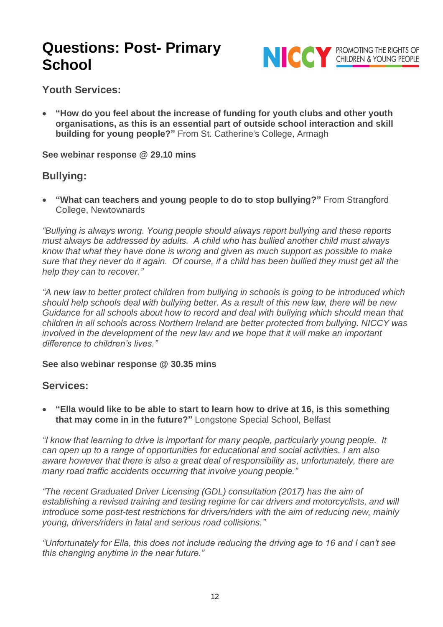

**Youth Services:**

• **"How do you feel about the increase of funding for youth clubs and other youth organisations, as this is an essential part of outside school interaction and skill building for young people?"** From St. Catherine's College, Armagh

**See webinar response @ 29.10 mins**

## **Bullying:**

• **"What can teachers and young people to do to stop bullying?"** From Strangford College, Newtownards

*"Bullying is always wrong. Young people should always report bullying and these reports must always be addressed by adults. A child who has bullied another child must always know that what they have done is wrong and given as much support as possible to make sure that they never do it again. Of course, if a child has been bullied they must get all the help they can to recover."* 

*"A new law to better protect children from bullying in schools is going to be introduced which should help schools deal with bullying better. As a result of this new law, there will be new Guidance for all schools about how to record and deal with bullying which should mean that children in all schools across Northern Ireland are better protected from bullying. NICCY was involved in the development of the new law and we hope that it will make an important difference to children's lives."*

**See also webinar response @ 30.35 mins**

### **Services:**

• **"Ella would like to be able to start to learn how to drive at 16, is this something that may come in in the future?"** Longstone Special School, Belfast

*"I know that learning to drive is important for many people, particularly young people. It can open up to a range of opportunities for educational and social activities. I am also aware however that there is also a great deal of responsibility as, unfortunately, there are many road traffic accidents occurring that involve young people."*

*"The recent Graduated Driver Licensing (GDL) consultation (2017) has the aim of establishing a revised training and testing regime for car drivers and motorcyclists, and will introduce some post-test restrictions for drivers/riders with the aim of reducing new, mainly young, drivers/riders in fatal and serious road collisions."*

*"Unfortunately for Ella, this does not include reducing the driving age to 16 and I can't see this changing anytime in the near future."*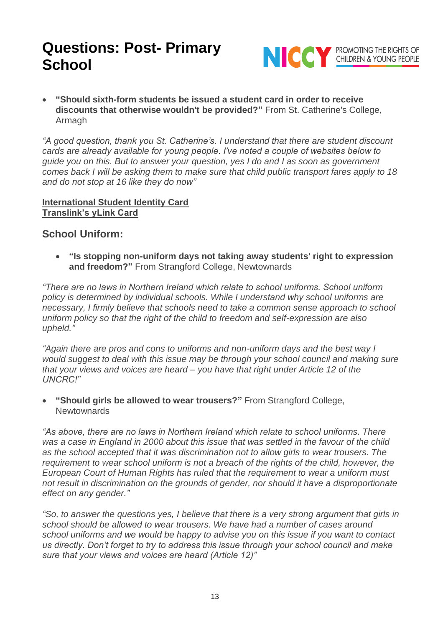

• **"Should sixth-form students be issued a student card in order to receive discounts that otherwise wouldn't be provided?"** From St. Catherine's College, Armagh

*"A good question, thank you St. Catherine's. I understand that there are student discount cards are already available for young people. I've noted a couple of websites below to guide you on this. But to answer your question, yes I do and I as soon as government comes back I will be asking them to make sure that child public transport fares apply to 18 and do not stop at 16 like they do now"*

#### **[International Student Identity Card](https://www.myisic.co.uk/the-cards/isic-card/) [Translink's yLink Card](http://www.translink.co.uk/yLink)**

### **School Uniform:**

• **"Is stopping non-uniform days not taking away students' right to expression and freedom?"** From Strangford College, Newtownards

*"There are no laws in Northern Ireland which relate to school uniforms. School uniform policy is determined by individual schools. While I understand why school uniforms are necessary, I firmly believe that schools need to take a common sense approach to school uniform policy so that the right of the child to freedom and self-expression are also upheld."*

*"Again there are pros and cons to uniforms and non-uniform days and the best way I would suggest to deal with this issue may be through your school council and making sure that your views and voices are heard – you have that right under Article 12 of the UNCRC!"*

• **"Should girls be allowed to wear trousers?"** From Strangford College, **Newtownards** 

*"As above, there are no laws in Northern Ireland which relate to school uniforms. There was a case in England in 2000 about this issue that was settled in the favour of the child as the school accepted that it was discrimination not to allow girls to wear trousers. The requirement to wear school uniform is not a breach of the rights of the child, however, the European Court of Human Rights has ruled that the requirement to wear a uniform must not result in discrimination on the grounds of gender, nor should it have a disproportionate effect on any gender."*

*"So, to answer the questions yes, I believe that there is a very strong argument that girls in school should be allowed to wear trousers. We have had a number of cases around school uniforms and we would be happy to advise you on this issue if you want to contact us directly. Don't forget to try to address this issue through your school council and make sure that your views and voices are heard (Article 12)"*